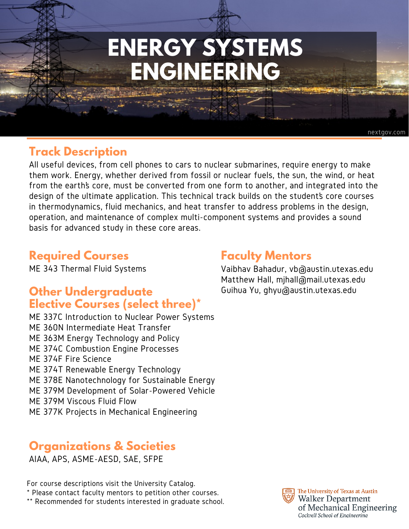# **ENERGY SYSTEMS ENGINEERING**

### **Track Description**

All useful devices, from cell phones to cars to nuclear submarines, require energy to make them work. Energy, whether derived from fossil or nuclear fuels, the sun, the wind, or heat from the earth's core, must be converted from one form to another, and integrated into the design of the ultimate application. This technical track builds on the student's core courses in thermodynamics, fluid mechanics, and heat transfer to address problems in the design, operation, and maintenance of complex multi-component systems and provides a sound basis for advanced study in these core areas.

#### **Required Courses**

ME 343 Thermal Fluid Systems

## **Other Undergraduate Elective Courses (select three)\***

ME 337C Introduction to Nuclear Power Systems ME 360N Intermediate Heat Transfer ME 363M Energy Technology and Policy ME 374C Combustion Engine Processes ME 374F Fire Science ME 374T Renewable Energy Technology ME 378E Nanotechnology for Sustainable Energy ME 379M Development of Solar-Powered Vehicle ME 379M Viscous Fluid Flow ME 377K Projects in Mechanical Engineering

## **Organizations & Societies**

AIAA, APS, ASME-AESD, SAE, SFPE

For course descriptions visit the University Catalog. \* Please contact faculty mentors to petition other courses.

\*\* Recommended for students interested in graduate school.

### **Faculty Mentors**

Vaibhav Bahadur, vb@austin.utexas.edu Matthew Hall, mjhall@mail.utexas.edu Guihua Yu, ghyu@austin.utexas.edu